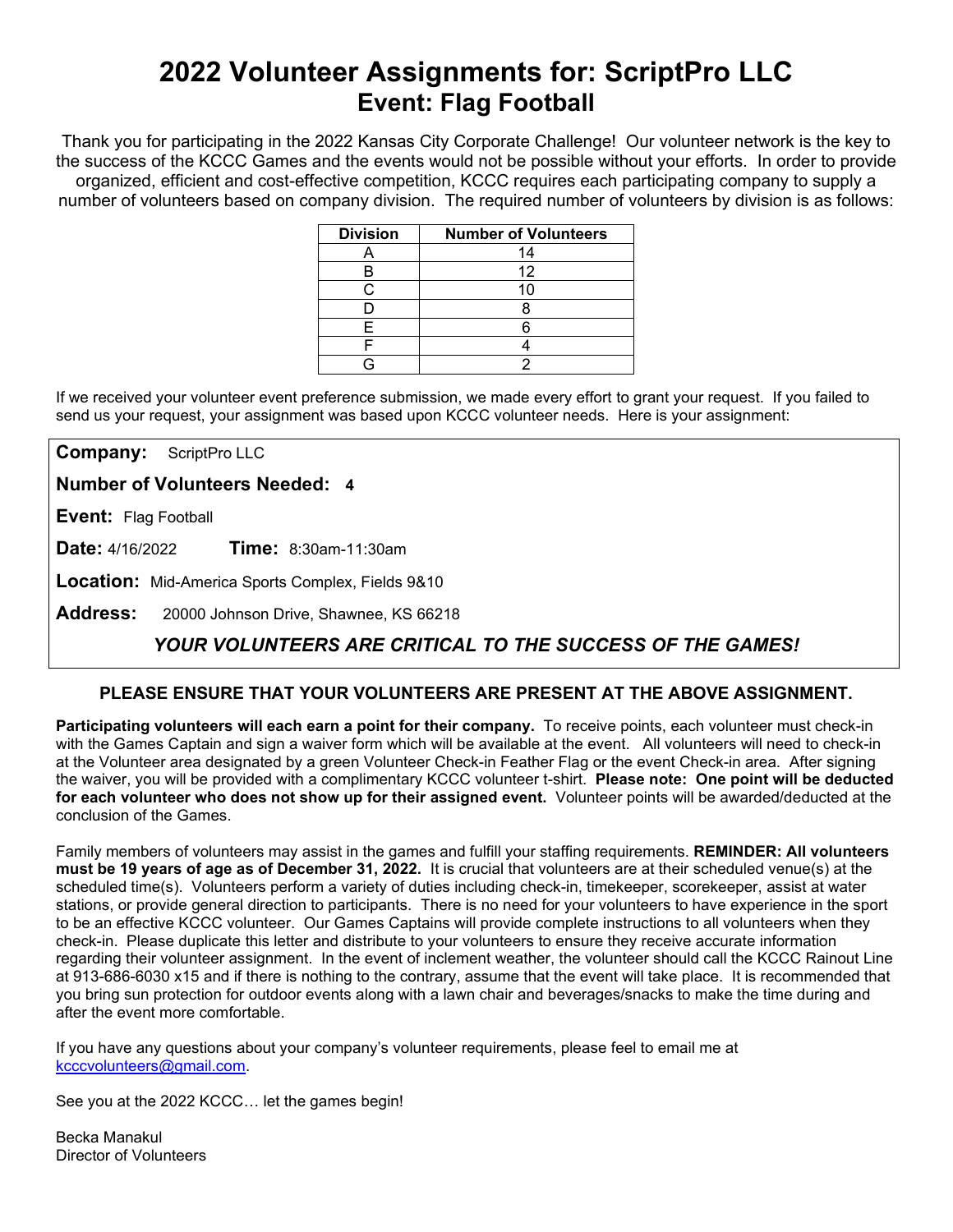# **2022 Volunteer Assignments for: ScriptPro LLC Event: Flag Football**

Thank you for participating in the 2022 Kansas City Corporate Challenge! Our volunteer network is the key to the success of the KCCC Games and the events would not be possible without your efforts.In order to provide organized, efficient and cost-effective competition, KCCC requires each participating company to supply a number of volunteers based on company division. The required number of volunteers by division is as follows:

| <b>Division</b> | <b>Number of Volunteers</b> |
|-----------------|-----------------------------|
|                 | 14                          |
| В               | 12                          |
|                 |                             |
|                 |                             |
| F               |                             |
|                 |                             |
|                 |                             |

If we received your volunteer event preference submission, we made every effort to grant your request. If you failed to send us your request, your assignment was based upon KCCC volunteer needs. Here is your assignment:

**Company:** ScriptPro LLC

**Number of Volunteers Needed: 4**

**Event:** Flag Football

**Date:** 4/16/2022 **Time:** 8:30am-11:30am

**Location:** Mid-America Sports Complex, Fields 9&10

**Address:** 20000 Johnson Drive, Shawnee, KS 66218

## *YOUR VOLUNTEERS ARE CRITICAL TO THE SUCCESS OF THE GAMES!*

#### **PLEASE ENSURE THAT YOUR VOLUNTEERS ARE PRESENT AT THE ABOVE ASSIGNMENT.**

**Participating volunteers will each earn a point for their company.** To receive points, each volunteer must check-in with the Games Captain and sign a waiver form which will be available at the event. All volunteers will need to check-in at the Volunteer area designated by a green Volunteer Check-in Feather Flag or the event Check-in area. After signing the waiver, you will be provided with a complimentary KCCC volunteer t-shirt. **Please note: One point will be deducted for each volunteer who does not show up for their assigned event.** Volunteer points will be awarded/deducted at the conclusion of the Games.

Family members of volunteers may assist in the games and fulfill your staffing requirements. **REMINDER: All volunteers must be 19 years of age as of December 31, 2022.** It is crucial that volunteers are at their scheduled venue(s) at the scheduled time(s). Volunteers perform a variety of duties including check-in, timekeeper, scorekeeper, assist at water stations, or provide general direction to participants. There is no need for your volunteers to have experience in the sport to be an effective KCCC volunteer. Our Games Captains will provide complete instructions to all volunteers when they check-in. Please duplicate this letter and distribute to your volunteers to ensure they receive accurate information regarding their volunteer assignment. In the event of inclement weather, the volunteer should call the KCCC Rainout Line at 913-686-6030 x15 and if there is nothing to the contrary, assume that the event will take place. It is recommended that you bring sun protection for outdoor events along with a lawn chair and beverages/snacks to make the time during and after the event more comfortable.

If you have any questions about your company's volunteer requirements, please feel to email me at [kcccvolunteers@gmail.com.](mailto:kcccvolunteers@gmail.com)

See you at the 2022 KCCC… let the games begin!

Becka Manakul Director of Volunteers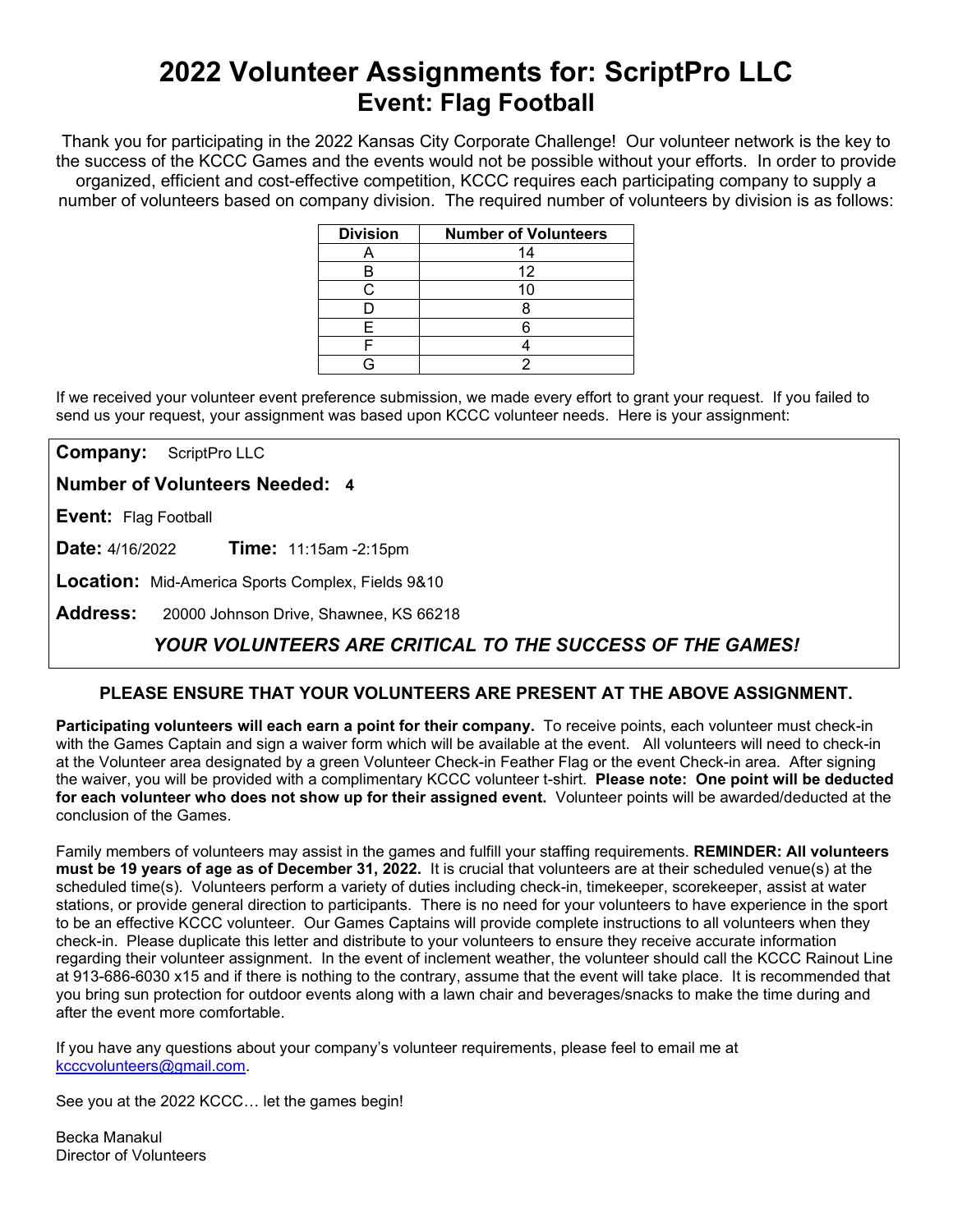# **2022 Volunteer Assignments for: ScriptPro LLC Event: Flag Football**

Thank you for participating in the 2022 Kansas City Corporate Challenge! Our volunteer network is the key to the success of the KCCC Games and the events would not be possible without your efforts.In order to provide organized, efficient and cost-effective competition, KCCC requires each participating company to supply a number of volunteers based on company division. The required number of volunteers by division is as follows:

| <b>Division</b> | <b>Number of Volunteers</b> |
|-----------------|-----------------------------|
|                 | 14                          |
| в               | 12                          |
| ◠               | 10                          |
|                 |                             |
| F               |                             |
|                 |                             |
|                 |                             |

If we received your volunteer event preference submission, we made every effort to grant your request. If you failed to send us your request, your assignment was based upon KCCC volunteer needs. Here is your assignment:

**Company:** ScriptPro LLC

**Number of Volunteers Needed: 4**

**Event:** Flag Football

**Date:** 4/16/2022 **Time:** 11:15am -2:15pm

**Location:** Mid-America Sports Complex, Fields 9&10

**Address:** 20000 Johnson Drive, Shawnee, KS 66218

## *YOUR VOLUNTEERS ARE CRITICAL TO THE SUCCESS OF THE GAMES!*

#### **PLEASE ENSURE THAT YOUR VOLUNTEERS ARE PRESENT AT THE ABOVE ASSIGNMENT.**

**Participating volunteers will each earn a point for their company.** To receive points, each volunteer must check-in with the Games Captain and sign a waiver form which will be available at the event. All volunteers will need to check-in at the Volunteer area designated by a green Volunteer Check-in Feather Flag or the event Check-in area. After signing the waiver, you will be provided with a complimentary KCCC volunteer t-shirt. **Please note: One point will be deducted for each volunteer who does not show up for their assigned event.** Volunteer points will be awarded/deducted at the conclusion of the Games.

Family members of volunteers may assist in the games and fulfill your staffing requirements. **REMINDER: All volunteers must be 19 years of age as of December 31, 2022.** It is crucial that volunteers are at their scheduled venue(s) at the scheduled time(s). Volunteers perform a variety of duties including check-in, timekeeper, scorekeeper, assist at water stations, or provide general direction to participants. There is no need for your volunteers to have experience in the sport to be an effective KCCC volunteer. Our Games Captains will provide complete instructions to all volunteers when they check-in. Please duplicate this letter and distribute to your volunteers to ensure they receive accurate information regarding their volunteer assignment. In the event of inclement weather, the volunteer should call the KCCC Rainout Line at 913-686-6030 x15 and if there is nothing to the contrary, assume that the event will take place. It is recommended that you bring sun protection for outdoor events along with a lawn chair and beverages/snacks to make the time during and after the event more comfortable.

If you have any questions about your company's volunteer requirements, please feel to email me at [kcccvolunteers@gmail.com.](mailto:kcccvolunteers@gmail.com)

See you at the 2022 KCCC… let the games begin!

Becka Manakul Director of Volunteers